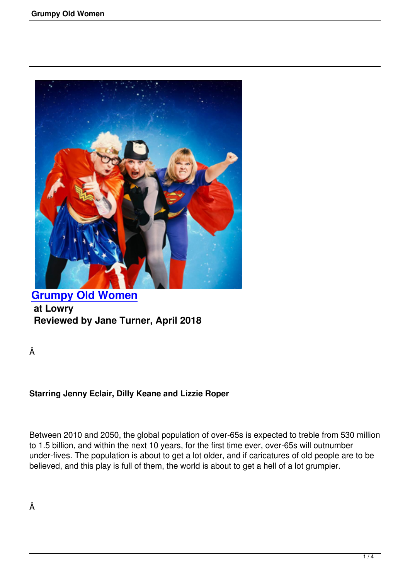

**Grumpy Old Women at Lowry [Reviewed by Jane Turn](grumpy-old-women.html)er, April 2018**

Â

#### **Starring Jenny Eclair, Dilly Keane and Lizzie Roper**

Between 2010 and 2050, the global population of over-65s is expected to treble from 530 million to 1.5 billion, and within the next 10 years, for the first time ever, over-65s will outnumber under-fives. The population is about to get a lot older, and if caricatures of old people are to be believed, and this play is full of them, the world is about to get a hell of a lot grumpier.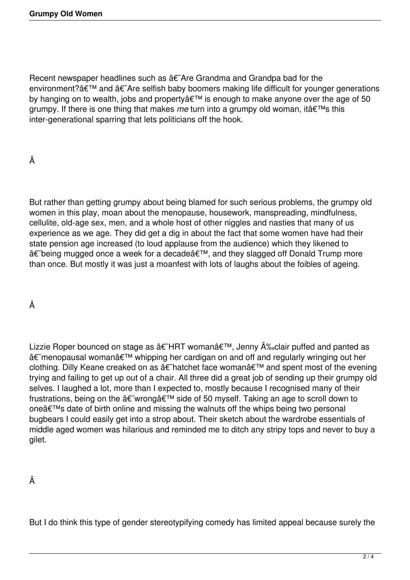Recent newspaper headlines such as †Are Grandma and Grandpa bad for the environment?' and â€~Are selfish baby boomers making life difficult for younger generations by hanging on to wealth, jobs and property $\hat{\mathbf{a}} \in \mathbb{M}$  is enough to make anyone over the age of 50 grumpy. If there is one thing that makes *me* turn into a grumpy old woman, itâ€<sup>™</sup>s this inter-generational sparring that lets politicians off the hook.

## Â

But rather than getting grumpy about being blamed for such serious problems, the grumpy old women in this play, moan about the menopause, housework, manspreading, mindfulness, cellulite, old-age sex, men, and a whole host of other niggles and nasties that many of us experience as we age. They did get a dig in about the fact that some women have had their state pension age increased (to loud applause from the audience) which they likened to †being mugged once a week for a decade', and they slagged off Donald Trump more than once. But mostly it was just a moanfest with lots of laughs about the foibles of ageing.

### Â

Lizzie Roper bounced on stage as  $\hat{a} \in HRT$  woman $\hat{a} \in T^M$ , Jenny  $\tilde{A}$ ‰clair puffed and panted as â€~menopausal woman' whipping her cardigan on and off and regularly wringing out her clothing. Dilly Keane creaked on as †hatchet face woman' and spent most of the evening trying and failing to get up out of a chair. All three did a great job of sending up their grumpy old selves. I laughed a lot, more than I expected to, mostly because I recognised many of their frustrations, being on the â€~wrong' side of 50 myself. Taking an age to scroll down to one's date of birth online and missing the walnuts off the whips being two personal bugbears I could easily get into a strop about. Their sketch about the wardrobe essentials of middle aged women was hilarious and reminded me to ditch any stripy tops and never to buy a gilet.

Â

But I do think this type of gender stereotypifying comedy has limited appeal because surely the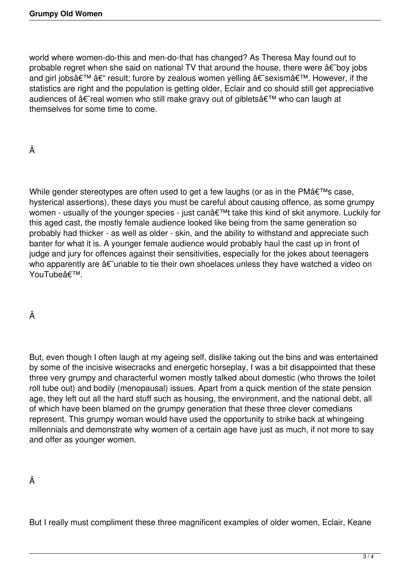world where women-do-this and men-do-that has changed? As Theresa May found out to probable regret when she said on national TV that around the house, there were  $\hat{a}\hat{\epsilon}$  boy jobs and girl jobs' – result; furore by zealous women yelling †sexism'. However, if the statistics are right and the population is getting older, Eclair and co should still get appreciative audiences of  $\tilde{a}\tilde{\epsilon}$  real women who still make gravy out of giblets $\hat{a}\epsilon^{\text{TM}}$  who can laugh at themselves for some time to come.

## Â

While gender stereotypes are often used to get a few laughs (or as in the PM $\hat{a} \in T^{M}$ s case, hysterical assertions), these days you must be careful about causing offence, as some grumpy women - usually of the younger species - just can't take this kind of skit anymore. Luckily for this aged cast, the mostly female audience looked like being from the same generation so probably had thicker - as well as older - skin, and the ability to withstand and appreciate such banter for what it is. A younger female audience would probably haul the cast up in front of judge and jury for offences against their sensitivities, especially for the jokes about teenagers who apparently are  $a \in \mathfrak{m}$  unable to tie their own shoelaces unless they have watched a video on YouTube'.

# Â

But, even though I often laugh at my ageing self, dislike taking out the bins and was entertained by some of the incisive wisecracks and energetic horseplay, I was a bit disappointed that these three very grumpy and characterful women mostly talked about domestic (who throws the toilet roll tube out) and bodily (menopausal) issues. Apart from a quick mention of the state pension age, they left out all the hard stuff such as housing, the environment, and the national debt, all of which have been blamed on the grumpy generation that these three clever comedians represent. This grumpy woman would have used the opportunity to strike back at whingeing millennials and demonstrate why women of a certain age have just as much, if not more to say and offer as younger women.

Â

But I really must compliment these three magnificent examples of older women, Eclair, Keane